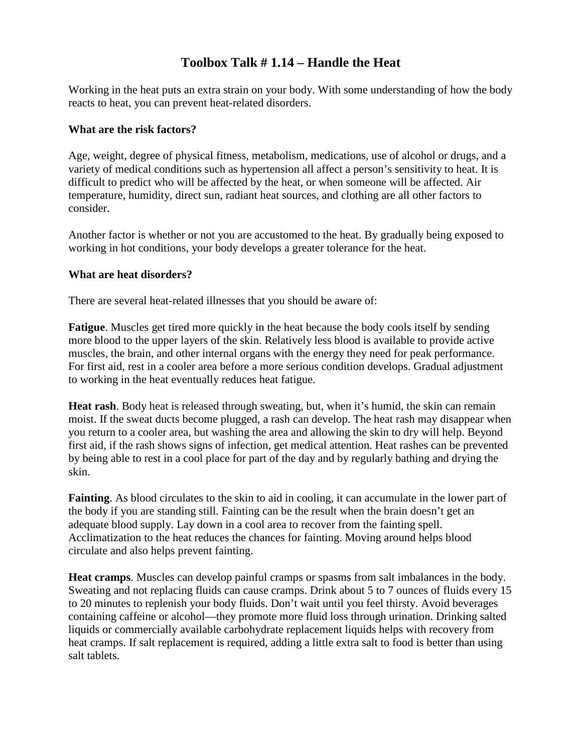### **Toolbox Talk # 1.14 – Handle the Heat**

Working in the heat puts an extra strain on your body. With some understanding of how the body reacts to heat, you can prevent heat-related disorders.

### **What are the risk factors?**

Age, weight, degree of physical fitness, metabolism, medications, use of alcohol or drugs, and a variety of medical conditions such as hypertension all affect a person's sensitivity to heat. It is difficult to predict who will be affected by the heat, or when someone will be affected. Air temperature, humidity, direct sun, radiant heat sources, and clothing are all other factors to consider.

Another factor is whether or not you are accustomed to the heat. By gradually being exposed to working in hot conditions, your body develops a greater tolerance for the heat.

#### **What are heat disorders?**

There are several heat-related illnesses that you should be aware of:

**Fatigue**. Muscles get tired more quickly in the heat because the body cools itself by sending more blood to the upper layers of the skin. Relatively less blood is available to provide active muscles, the brain, and other internal organs with the energy they need for peak performance. For first aid, rest in a cooler area before a more serious condition develops. Gradual adjustment to working in the heat eventually reduces heat fatigue.

**Heat rash**. Body heat is released through sweating, but, when it's humid, the skin can remain moist. If the sweat ducts become plugged, a rash can develop. The heat rash may disappear when you return to a cooler area, but washing the area and allowing the skin to dry will help. Beyond first aid, if the rash shows signs of infection, get medical attention. Heat rashes can be prevented by being able to rest in a cool place for part of the day and by regularly bathing and drying the skin.

**Fainting**. As blood circulates to the skin to aid in cooling, it can accumulate in the lower part of the body if you are standing still. Fainting can be the result when the brain doesn't get an adequate blood supply. Lay down in a cool area to recover from the fainting spell. Acclimatization to the heat reduces the chances for fainting. Moving around helps blood circulate and also helps prevent fainting.

**Heat cramps**. Muscles can develop painful cramps or spasms from salt imbalances in the body. Sweating and not replacing fluids can cause cramps. Drink about 5 to 7 ounces of fluids every 15 to 20 minutes to replenish your body fluids. Don't wait until you feel thirsty. Avoid beverages containing caffeine or alcohol—they promote more fluid loss through urination. Drinking salted liquids or commercially available carbohydrate replacement liquids helps with recovery from heat cramps. If salt replacement is required, adding a little extra salt to food is better than using salt tablets.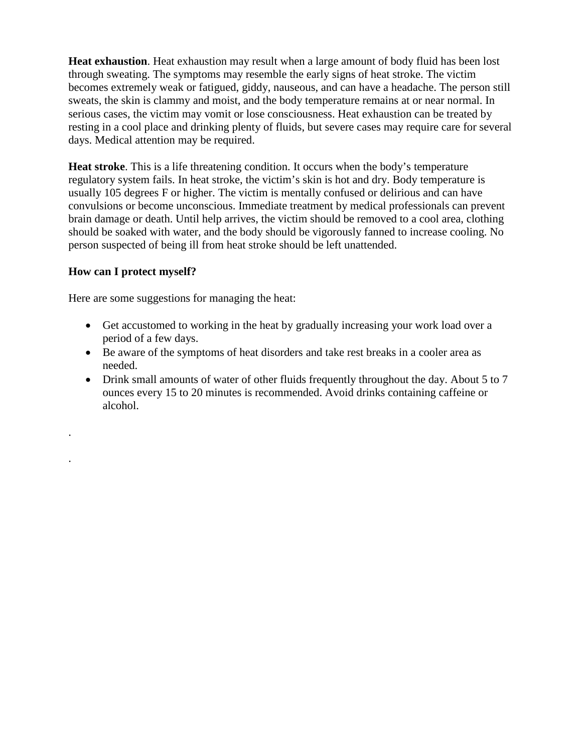**Heat exhaustion**. Heat exhaustion may result when a large amount of body fluid has been lost through sweating. The symptoms may resemble the early signs of heat stroke. The victim becomes extremely weak or fatigued, giddy, nauseous, and can have a headache. The person still sweats, the skin is clammy and moist, and the body temperature remains at or near normal. In serious cases, the victim may vomit or lose consciousness. Heat exhaustion can be treated by resting in a cool place and drinking plenty of fluids, but severe cases may require care for several days. Medical attention may be required.

**Heat stroke**. This is a life threatening condition. It occurs when the body's temperature regulatory system fails. In heat stroke, the victim's skin is hot and dry. Body temperature is usually 105 degrees F or higher. The victim is mentally confused or delirious and can have convulsions or become unconscious. Immediate treatment by medical professionals can prevent brain damage or death. Until help arrives, the victim should be removed to a cool area, clothing should be soaked with water, and the body should be vigorously fanned to increase cooling. No person suspected of being ill from heat stroke should be left unattended.

### **How can I protect myself?**

.

.

Here are some suggestions for managing the heat:

- Get accustomed to working in the heat by gradually increasing your work load over a period of a few days.
- Be aware of the symptoms of heat disorders and take rest breaks in a cooler area as needed.
- Drink small amounts of water of other fluids frequently throughout the day. About 5 to 7 ounces every 15 to 20 minutes is recommended. Avoid drinks containing caffeine or alcohol.